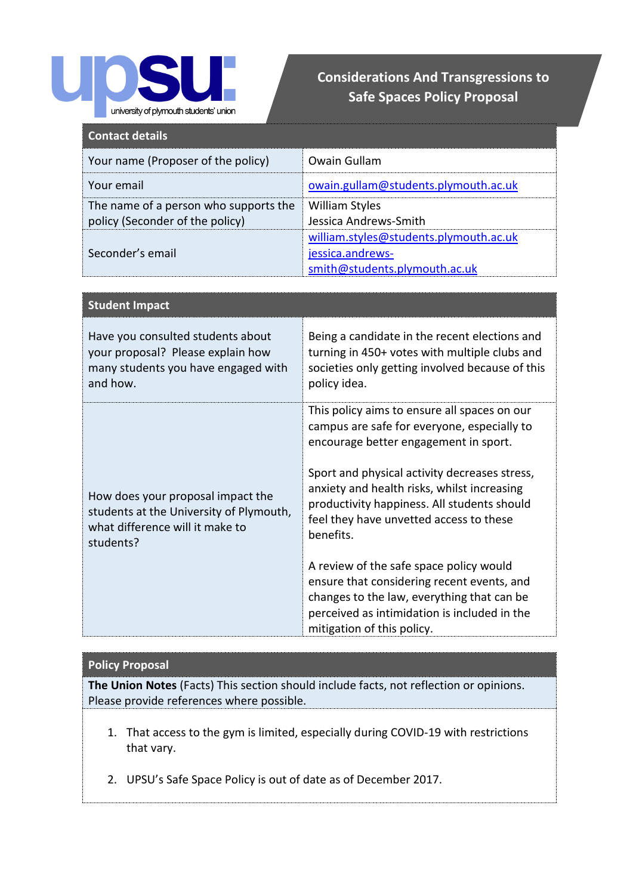

## **Considerations And Transgressions to Safe Spaces Policy Proposal**

| <b>Contact details</b>                                                   |                                                                                             |
|--------------------------------------------------------------------------|---------------------------------------------------------------------------------------------|
| Your name (Proposer of the policy)                                       | Owain Gullam                                                                                |
| Your email                                                               | owain.gullam@students.plymouth.ac.uk                                                        |
| The name of a person who supports the<br>policy (Seconder of the policy) | <b>William Styles</b><br>Jessica Andrews-Smith                                              |
| Seconder's email                                                         | william.styles@students.plymouth.ac.uk<br>jessica.andrews-<br>smith@students.plymouth.ac.uk |

| <b>Student Impact</b>                                                                                                        |                                                                                                                                                                                                                                                                                                                                                                                                                                                                                                                                                                  |
|------------------------------------------------------------------------------------------------------------------------------|------------------------------------------------------------------------------------------------------------------------------------------------------------------------------------------------------------------------------------------------------------------------------------------------------------------------------------------------------------------------------------------------------------------------------------------------------------------------------------------------------------------------------------------------------------------|
| Have you consulted students about<br>your proposal? Please explain how<br>many students you have engaged with<br>and how.    | Being a candidate in the recent elections and<br>turning in 450+ votes with multiple clubs and<br>societies only getting involved because of this<br>policy idea.                                                                                                                                                                                                                                                                                                                                                                                                |
| How does your proposal impact the<br>students at the University of Plymouth,<br>what difference will it make to<br>students? | This policy aims to ensure all spaces on our<br>campus are safe for everyone, especially to<br>encourage better engagement in sport.<br>Sport and physical activity decreases stress,<br>anxiety and health risks, whilst increasing<br>productivity happiness. All students should<br>feel they have unvetted access to these<br>benefits.<br>A review of the safe space policy would<br>ensure that considering recent events, and<br>changes to the law, everything that can be<br>perceived as intimidation is included in the<br>mitigation of this policy. |

## **Policy Proposal**

**The Union Notes** (Facts) This section should include facts, not reflection or opinions. Please provide references where possible.

- 1. That access to the gym is limited, especially during COVID-19 with restrictions that vary.
- 2. UPSU's Safe Space Policy is out of date as of December 2017.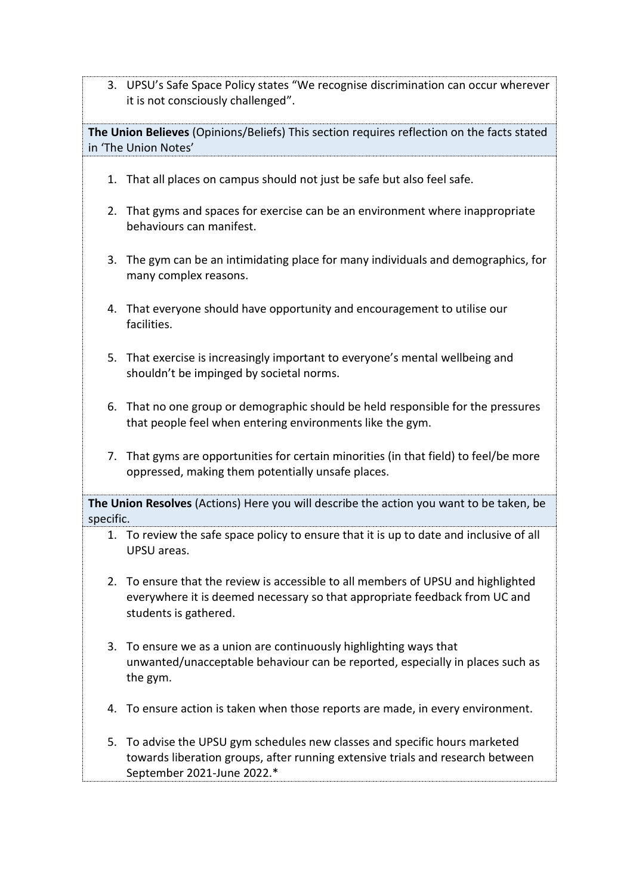3. UPSU's Safe Space Policy states "We recognise discrimination can occur wherever it is not consciously challenged".

**The Union Believes** (Opinions/Beliefs) This section requires reflection on the facts stated in 'The Union Notes'

- 1. That all places on campus should not just be safe but also feel safe.
- 2. That gyms and spaces for exercise can be an environment where inappropriate behaviours can manifest.
- 3. The gym can be an intimidating place for many individuals and demographics, for many complex reasons.
- 4. That everyone should have opportunity and encouragement to utilise our facilities.
- 5. That exercise is increasingly important to everyone's mental wellbeing and shouldn't be impinged by societal norms.
- 6. That no one group or demographic should be held responsible for the pressures that people feel when entering environments like the gym.
- 7. That gyms are opportunities for certain minorities (in that field) to feel/be more oppressed, making them potentially unsafe places.

**The Union Resolves** (Actions) Here you will describe the action you want to be taken, be specific.

- 1. To review the safe space policy to ensure that it is up to date and inclusive of all UPSU areas.
- 2. To ensure that the review is accessible to all members of UPSU and highlighted everywhere it is deemed necessary so that appropriate feedback from UC and students is gathered.
- 3. To ensure we as a union are continuously highlighting ways that unwanted/unacceptable behaviour can be reported, especially in places such as the gym.
- 4. To ensure action is taken when those reports are made, in every environment.
- 5. To advise the UPSU gym schedules new classes and specific hours marketed towards liberation groups, after running extensive trials and research between September 2021-June 2022.\*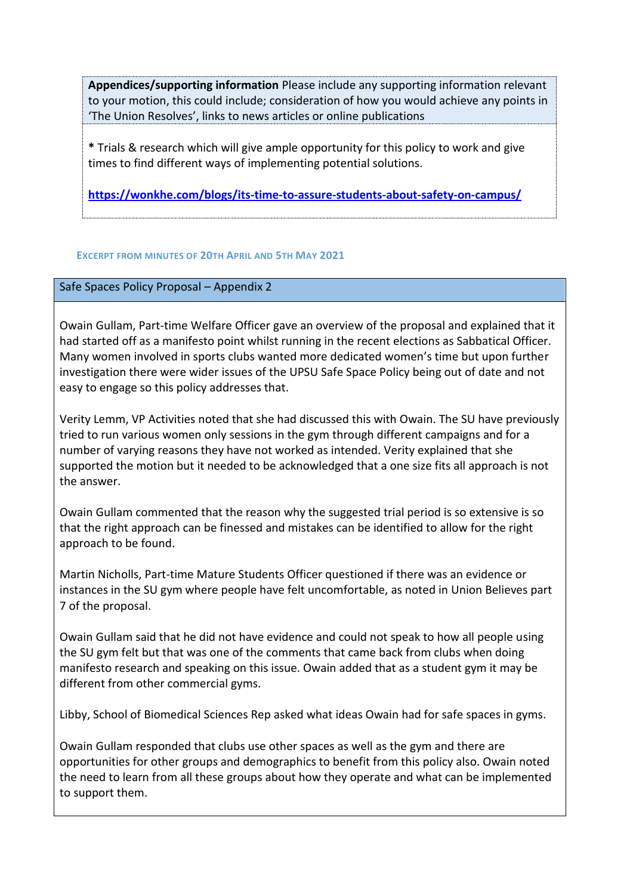**Appendices/supporting information** Please include any supporting information relevant to your motion, this could include; consideration of how you would achieve any points in 'The Union Resolves', links to news articles or online publications

**\*** Trials & research which will give ample opportunity for this policy to work and give times to find different ways of implementing potential solutions.

**<https://wonkhe.com/blogs/its-time-to-assure-students-about-safety-on-campus/>**

## **EXCERPT FROM MINUTES OF 20TH APRIL AND 5TH MAY 2021**

## Safe Spaces Policy Proposal – Appendix 2

Owain Gullam, Part-time Welfare Officer gave an overview of the proposal and explained that it had started off as a manifesto point whilst running in the recent elections as Sabbatical Officer. Many women involved in sports clubs wanted more dedicated women's time but upon further investigation there were wider issues of the UPSU Safe Space Policy being out of date and not easy to engage so this policy addresses that.

Verity Lemm, VP Activities noted that she had discussed this with Owain. The SU have previously tried to run various women only sessions in the gym through different campaigns and for a number of varying reasons they have not worked as intended. Verity explained that she supported the motion but it needed to be acknowledged that a one size fits all approach is not the answer.

Owain Gullam commented that the reason why the suggested trial period is so extensive is so that the right approach can be finessed and mistakes can be identified to allow for the right approach to be found.

Martin Nicholls, Part-time Mature Students Officer questioned if there was an evidence or instances in the SU gym where people have felt uncomfortable, as noted in Union Believes part 7 of the proposal.

Owain Gullam said that he did not have evidence and could not speak to how all people using the SU gym felt but that was one of the comments that came back from clubs when doing manifesto research and speaking on this issue. Owain added that as a student gym it may be different from other commercial gyms.

Libby, School of Biomedical Sciences Rep asked what ideas Owain had for safe spaces in gyms.

Owain Gullam responded that clubs use other spaces as well as the gym and there are opportunities for other groups and demographics to benefit from this policy also. Owain noted the need to learn from all these groups about how they operate and what can be implemented to support them.